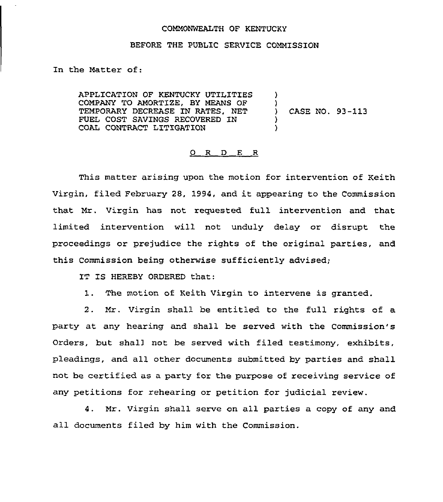## COMMONWEALTH OF KENTUCKY

## BEFORE THE PUBLIC SERVICE COMMISSION

In the Matter of:

APPLICATION OF KENTUCKY UTILITIES COMPANY TO AMORTIZE, BY MEANS OF TEMPORARY DECREASE IN RATES, NET FUEL COST SAVINGS RECOVERED IN COAL CONTRACT LITIGATION ) )<br>) ) CASE NO. 93-113 ) )

## 0 R <sup>D</sup> E R

This matter arising upon the motion for intervention of Keith Virgin, filed February 28, 1994, and it appearing to the Commission that Mr. Virgin has not requested full intervention and that limited intervention will not unduly delay or disrupt the proceedings or prejudice the rights of the original parties, and this Commission being otherwise sufficiently advised;

IT IS HEREBY ORDERED that:

1. The motion of Keith Virgin to intervene is granted.

2. Mr. Virgin shall be entitled to the full rights of a party at any hearing and shall be served with the Commission's Orders, but shel) not be served with filed testimony, exhibits, pleadings, and all other documents submitted by parties and shall not be certified as a party for the purpose of receiving service of any petitions for rehearing or petition for judicial review.

4. Mr. virgin shall serve on all parties a copy of any and all documents filed by him with the Commission.